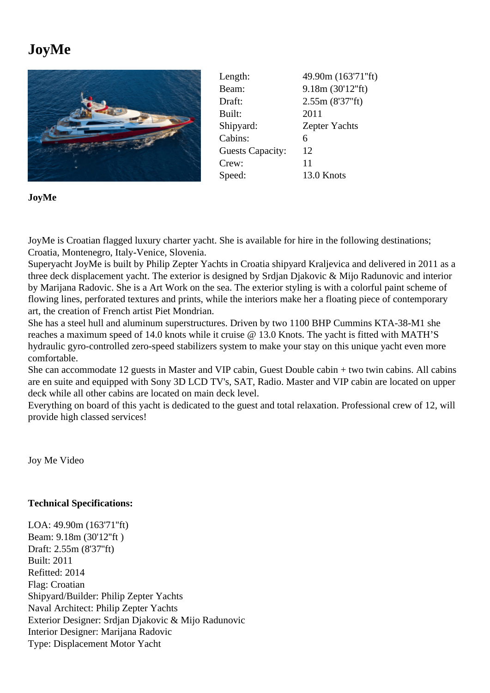## JoyMe

| Length:                 | 49.90m (163'71"ft)   |
|-------------------------|----------------------|
| Beam:                   | 9.18m (30'12"ft)     |
| Draft:                  | 2.55m (8'37"ft)      |
| Built:                  | 2011                 |
| Shipyard:               | <b>Zepter Yachts</b> |
| Cabins:                 | 6                    |
| <b>Guests Capacity:</b> | 12                   |
| Crew:                   | 11                   |
| Speed:                  | 13.0 Knots           |

JoyMe

JoyMe is Croatian flagged luxury charter yacht. She is available for hire in the following destinations; Croatia, Montenegro, Italy-Venice, Slovenia.

Superyacht JoyMe is built by Philip Zepter Yachts in Croatia shipyard Kraljevica and delivered in 2011 as a three deck displacement yacht. The exterior is designed by Srdjan Djakovic & Mijo Radunovic and interior by Marijana Radovic. She is a Art Work on the sea. The exterior styling is with a colorful paint scheme of flowing lines, perforated textures and prints, while the interiors make her a floating piece of contemporary art, the creation of French artist Piet Mondrian.

She has a steel hull and aluminum superstructures. Driven by two 1100 BHP Cummins KTA-38-M1 she reaches a maximum speed of 14.0 knots while it cruise @ 13.0 Knots. The yacht is fitted with MATH'S hydraulic gyro-controlled zero-speed stabilizers system to make your stay on this unique yacht even more comfortable.

She can accommodate 12 guests in Master and VIP cabin, Guest Double cabin + two twin cabins. All cabins are en suite and equipped with Sony 3D LCD TV's, SAT, Radio. Master and VIP cabin are located on upper deck while all other cabins are located on main deck level.

Everything on board of this yacht is dedicated to the guest and total relaxation. Professional crew of 12, will provide high classed services!

Joy Me Video

[Technical Sp](https://www.youtube.com/watch?v=1ACvcFACvjo)ecifications:

LOA: 49.90m (163'71''ft) Beam: 9.18m (30'12''ft ) Draft: 2.55m (8'37''ft) Built: 2011 Refitted: 2014 Flag: Croatian Shipyard/Builder: Philip Zepter Yachts Naval Architect: Philip Zepter Yachts Exterior Designer: Srdjan Djakovic & Mijo Radunovic Interior Designer: Marijana Radovic Type: Displacement Motor Yacht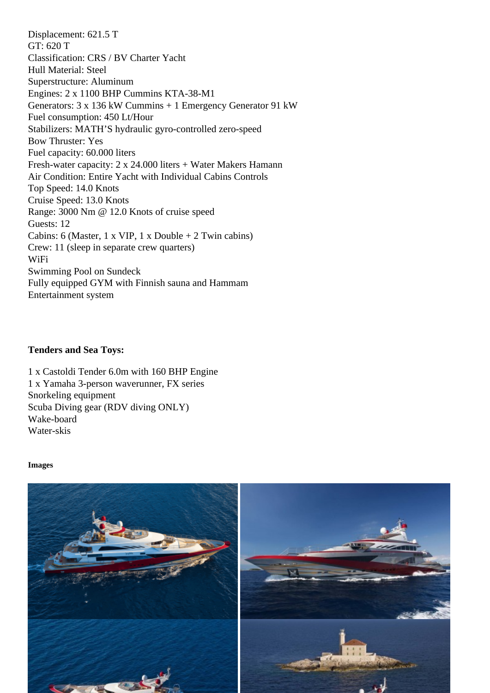GT: 620 T Classification: CRS / BV Charter Yacht Hull Material: Steel Superstructure: Aluminum Engines: 2 x 1100 BHP Cummins KTA-38-M1 Generators: 3 x 136 kW Cummins + 1 Emergency Generator 91 kW Fuel consumption: 450 Lt/Hour Stabilizers: MATH'S hydraulic gyro-controlled zero-speed Bow Thruster: Yes Fuel capacity: 60.000 liters Fresh-water capacity: 2 x 24.000 liters + Water Makers Hamann Air Condition: Entire Yacht with Individual Cabins Controls Top Speed: 14.0 Knots Cruise Speed: 13.0 Knots Range: 3000 Nm @ 12.0 Knots of cruise speed Guests: 12 Cabins: 6 (Master, 1 x VIP, 1 x Double + 2 Twin cabins) Crew: 11 (sleep in separate crew quarters) WiFi Swimming Pool on Sundeck Fully equipped GYM with Finnish sauna and Hammam Entertainment system

Tenders and Sea Toys:

1 x Castoldi Tender 6.0m with 160 BHP Engine 1 x Yamaha 3-person waverunner, FX series Snorkeling equipment Scuba Diving gear (RDV diving ONLY) Wake-board Water-skis

Images